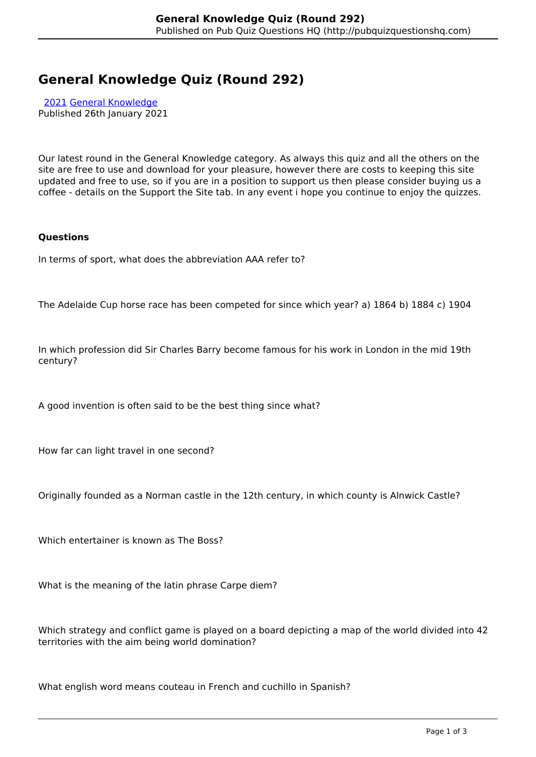# **General Knowledge Quiz (Round 292)**

 [2021](http://pubquizquestionshq.com/categories/2021) [General Knowledge](http://pubquizquestionshq.com/categories/general-knowledge) Published 26th January 2021

Our latest round in the General Knowledge category. As always this quiz and all the others on the site are free to use and download for your pleasure, however there are costs to keeping this site updated and free to use, so if you are in a position to support us then please consider buying us a coffee - details on the Support the Site tab. In any event i hope you continue to enjoy the quizzes.

# **Questions**

In terms of sport, what does the abbreviation AAA refer to?

The Adelaide Cup horse race has been competed for since which year? a) 1864 b) 1884 c) 1904

In which profession did Sir Charles Barry become famous for his work in London in the mid 19th century?

A good invention is often said to be the best thing since what?

How far can light travel in one second?

Originally founded as a Norman castle in the 12th century, in which county is Alnwick Castle?

Which entertainer is known as The Boss?

What is the meaning of the latin phrase Carpe diem?

Which strategy and conflict game is played on a board depicting a map of the world divided into 42 territories with the aim being world domination?

What english word means couteau in French and cuchillo in Spanish?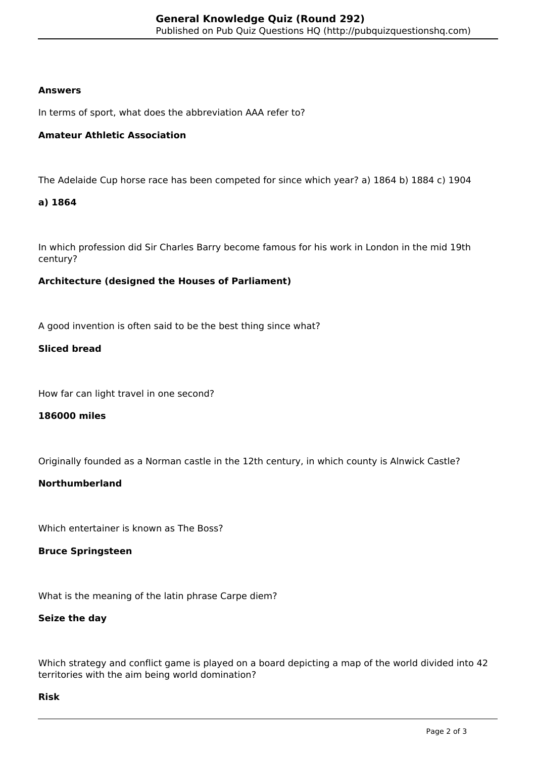## **Answers**

In terms of sport, what does the abbreviation AAA refer to?

## **Amateur Athletic Association**

The Adelaide Cup horse race has been competed for since which year? a) 1864 b) 1884 c) 1904

## **a) 1864**

In which profession did Sir Charles Barry become famous for his work in London in the mid 19th century?

## **Architecture (designed the Houses of Parliament)**

A good invention is often said to be the best thing since what?

## **Sliced bread**

How far can light travel in one second?

#### **186000 miles**

Originally founded as a Norman castle in the 12th century, in which county is Alnwick Castle?

# **Northumberland**

Which entertainer is known as The Boss?

#### **Bruce Springsteen**

What is the meaning of the latin phrase Carpe diem?

#### **Seize the day**

Which strategy and conflict game is played on a board depicting a map of the world divided into 42 territories with the aim being world domination?

#### **Risk**